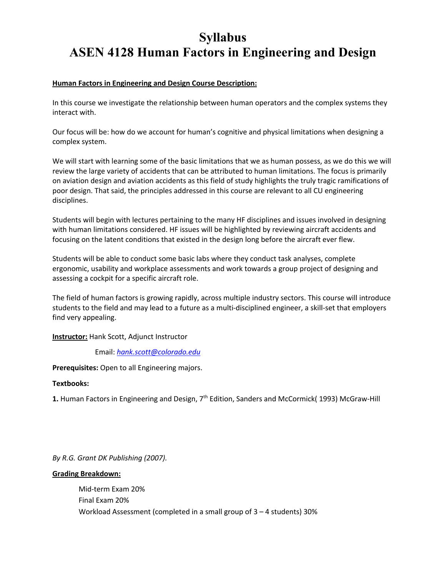# **Syllabus ASEN 4128 Human Factors in Engineering and Design**

# **Human Factors in Engineering and Design Course Description:**

In this course we investigate the relationship between human operators and the complex systems they interact with.

Our focus will be: how do we account for human's cognitive and physical limitations when designing a complex system.

We will start with learning some of the basic limitations that we as human possess, as we do this we will review the large variety of accidents that can be attributed to human limitations. The focus is primarily on aviation design and aviation accidents as this field of study highlights the truly tragic ramifications of poor design. That said, the principles addressed in this course are relevant to all CU engineering disciplines.

Students will begin with lectures pertaining to the many HF disciplines and issues involved in designing with human limitations considered. HF issues will be highlighted by reviewing aircraft accidents and focusing on the latent conditions that existed in the design long before the aircraft ever flew.

Students will be able to conduct some basic labs where they conduct task analyses, complete ergonomic, usability and workplace assessments and work towards a group project of designing and assessing a cockpit for a specific aircraft role.

The field of human factors is growing rapidly, across multiple industry sectors. This course will introduce students to the field and may lead to a future as a multi-disciplined engineer, a skill-set that employers find very appealing.

**Instructor:** Hank Scott, Adjunct Instructor

Email: *hank.scott@colorado.edu*

**Prerequisites:** Open to all Engineering majors.

# **Textbooks:**

1. Human Factors in Engineering and Design, 7<sup>th</sup> Edition, Sanders and McCormick(1993) McGraw-Hill

*By R.G. Grant DK Publishing (2007).*

## **Grading Breakdown:**

Mid-term Exam 20% Final Exam 20% Workload Assessment (completed in a small group of 3 – 4 students) 30%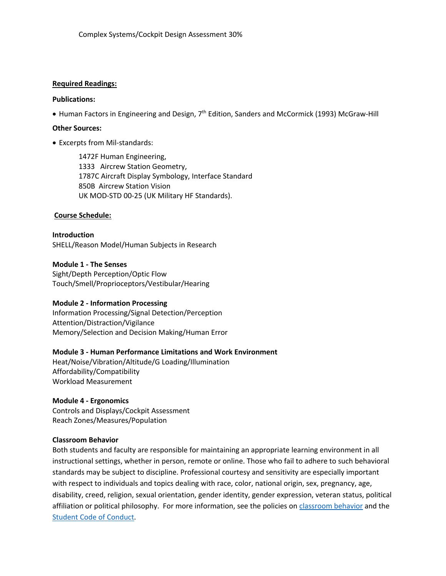# **Required Readings:**

## **Publications:**

 $\bullet$  Human Factors in Engineering and Design,  $7<sup>th</sup>$  Edition, Sanders and McCormick (1993) McGraw-Hill

## **Other Sources:**

• Excerpts from Mil-standards:

1472F Human Engineering, 1333 Aircrew Station Geometry, 1787C Aircraft Display Symbology, Interface Standard 850B Aircrew Station Vision UK MOD-STD 00-25 (UK Military HF Standards).

## **Course Schedule:**

**Introduction**  SHELL/Reason Model/Human Subjects in Research

**Module 1 - The Senses**  Sight/Depth Perception/Optic Flow Touch/Smell/Proprioceptors/Vestibular/Hearing

## **Module 2 - Information Processing**

Information Processing/Signal Detection/Perception Attention/Distraction/Vigilance Memory/Selection and Decision Making/Human Error

# **Module 3 - Human Performance Limitations and Work Environment**

Heat/Noise/Vibration/Altitude/G Loading/Illumination Affordability/Compatibility Workload Measurement

# **Module 4 - Ergonomics**

Controls and Displays/Cockpit Assessment Reach Zones/Measures/Population

## **Classroom Behavior**

Both students and faculty are responsible for maintaining an appropriate learning environment in all instructional settings, whether in person, remote or online. Those who fail to adhere to such behavioral standards may be subject to discipline. Professional courtesy and sensitivity are especially important with respect to individuals and topics dealing with race, color, national origin, sex, pregnancy, age, disability, creed, religion, sexual orientation, gender identity, gender expression, veteran status, political affiliation or political philosophy. For more information, see the policies on classroom behavior and the Student Code of Conduct.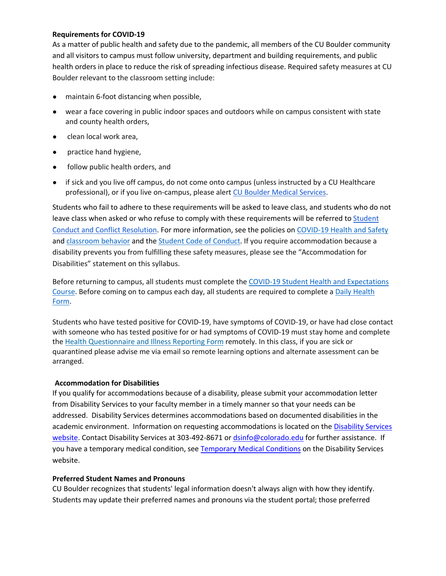# **Requirements for COVID-19**

As a matter of public health and safety due to the pandemic, all members of the CU Boulder community and all visitors to campus must follow university, department and building requirements, and public health orders in place to reduce the risk of spreading infectious disease. Required safety measures at CU Boulder relevant to the classroom setting include:

- maintain 6-foot distancing when possible,
- wear a face covering in public indoor spaces and outdoors while on campus consistent with state and county health orders,
- clean local work area,
- practice hand hygiene,
- follow public health orders, and
- if sick and you live off campus, do not come onto campus (unless instructed by a CU Healthcare professional), or if you live on-campus, please alert CU Boulder Medical Services.

Students who fail to adhere to these requirements will be asked to leave class, and students who do not leave class when asked or who refuse to comply with these requirements will be referred to Student Conduct and Conflict Resolution. For more information, see the policies on COVID-19 Health and Safety and classroom behavior and the Student Code of Conduct. If you require accommodation because a disability prevents you from fulfilling these safety measures, please see the "Accommodation for Disabilities" statement on this syllabus.

Before returning to campus, all students must complete the COVID-19 Student Health and Expectations Course. Before coming on to campus each day, all students are required to complete a Daily Health Form.

Students who have tested positive for COVID-19, have symptoms of COVID-19, or have had close contact with someone who has tested positive for or had symptoms of COVID-19 must stay home and complete the Health Questionnaire and Illness Reporting Form remotely. In this class, if you are sick or quarantined please advise me via email so remote learning options and alternate assessment can be arranged.

# **Accommodation for Disabilities**

If you qualify for accommodations because of a disability, please submit your accommodation letter from Disability Services to your faculty member in a timely manner so that your needs can be addressed. Disability Services determines accommodations based on documented disabilities in the academic environment. Information on requesting accommodations is located on the Disability Services website. Contact Disability Services at 303-492-8671 or dsinfo@colorado.edu for further assistance. If you have a temporary medical condition, see Temporary Medical Conditions on the Disability Services website.

# **Preferred Student Names and Pronouns**

CU Boulder recognizes that students' legal information doesn't always align with how they identify. Students may update their preferred names and pronouns via the student portal; those preferred